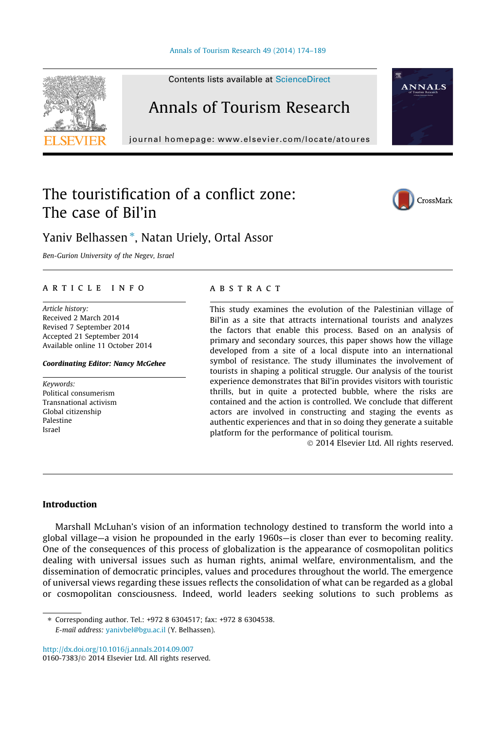

Contents lists available at [ScienceDirect](http://www.sciencedirect.com/science/journal/01607383)

# Annals of Tourism Research

journal homepage: [www.elsevier.com/locate/atoures](http://www.elsevier.com/locate/atoures)

# The touristification of a conflict zone: The case of Bil'in



**ANNALS** 

## Yaniv Belhassen \*, Natan Uriely, Ortal Assor

Ben-Gurion University of the Negev, Israel

#### article info

Article history: Received 2 March 2014 Revised 7 September 2014 Accepted 21 September 2014 Available online 11 October 2014

#### Coordinating Editor: Nancy McGehee

Keywords: Political consumerism Transnational activism Global citizenship Palestine Israel

#### **ABSTRACT**

This study examines the evolution of the Palestinian village of Bil'in as a site that attracts international tourists and analyzes the factors that enable this process. Based on an analysis of primary and secondary sources, this paper shows how the village developed from a site of a local dispute into an international symbol of resistance. The study illuminates the involvement of tourists in shaping a political struggle. Our analysis of the tourist experience demonstrates that Bil'in provides visitors with touristic thrills, but in quite a protected bubble, where the risks are contained and the action is controlled. We conclude that different actors are involved in constructing and staging the events as authentic experiences and that in so doing they generate a suitable platform for the performance of political tourism.

- 2014 Elsevier Ltd. All rights reserved.

### Introduction

Marshall McLuhan's vision of an information technology destined to transform the world into a global village—a vision he propounded in the early 1960s—is closer than ever to becoming reality. One of the consequences of this process of globalization is the appearance of cosmopolitan politics dealing with universal issues such as human rights, animal welfare, environmentalism, and the dissemination of democratic principles, values and procedures throughout the world. The emergence of universal views regarding these issues reflects the consolidation of what can be regarded as a global or cosmopolitan consciousness. Indeed, world leaders seeking solutions to such problems as

⇑ Corresponding author. Tel.: +972 8 6304517; fax: +972 8 6304538. E-mail address: [yanivbel@bgu.ac.il](mailto:yanivbel@bgu.ac.il) (Y. Belhassen).

<http://dx.doi.org/10.1016/j.annals.2014.09.007> 0160-7383/© 2014 Elsevier Ltd. All rights reserved.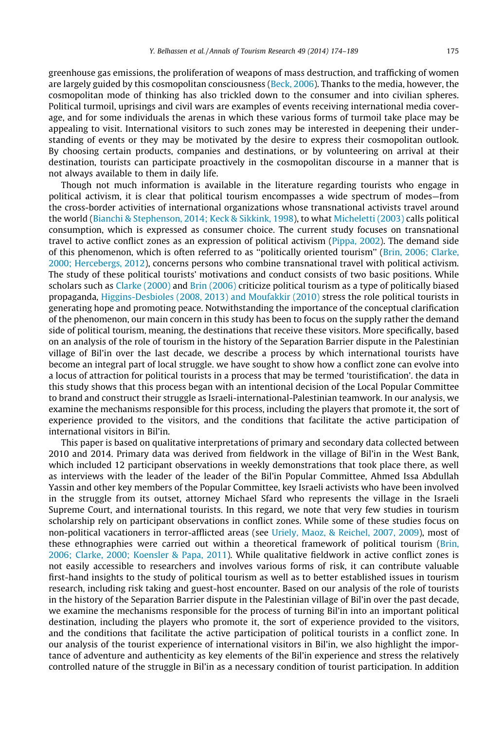greenhouse gas emissions, the proliferation of weapons of mass destruction, and trafficking of women are largely guided by this cosmopolitan consciousness [\(Beck, 2006\)](#page-14-0). Thanks to the media, however, the cosmopolitan mode of thinking has also trickled down to the consumer and into civilian spheres. Political turmoil, uprisings and civil wars are examples of events receiving international media coverage, and for some individuals the arenas in which these various forms of turmoil take place may be appealing to visit. International visitors to such zones may be interested in deepening their understanding of events or they may be motivated by the desire to express their cosmopolitan outlook. By choosing certain products, companies and destinations, or by volunteering on arrival at their destination, tourists can participate proactively in the cosmopolitan discourse in a manner that is not always available to them in daily life.

Though not much information is available in the literature regarding tourists who engage in political activism, it is clear that political tourism encompasses a wide spectrum of modes—from the cross-border activities of international organizations whose transnational activists travel around the world ([Bianchi & Stephenson, 2014; Keck & Sikkink, 1998\)](#page-14-0), to what [Micheletti \(2003\)](#page-15-0) calls political consumption, which is expressed as consumer choice. The current study focuses on transnational travel to active conflict zones as an expression of political activism ([Pippa, 2002](#page-15-0)). The demand side of this phenomenon, which is often referred to as ''politically oriented tourism'' [\(Brin, 2006; Clarke,](#page-14-0) [2000; Hercebergs, 2012](#page-14-0)), concerns persons who combine transnational travel with political activism. The study of these political tourists' motivations and conduct consists of two basic positions. While scholars such as [Clarke \(2000\)](#page-14-0) and [Brin \(2006\)](#page-14-0) criticize political tourism as a type of politically biased propaganda, [Higgins-Desbioles \(2008, 2013\) and Moufakkir \(2010\)](#page-14-0) stress the role political tourists in generating hope and promoting peace. Notwithstanding the importance of the conceptual clarification of the phenomenon, our main concern in this study has been to focus on the supply rather the demand side of political tourism, meaning, the destinations that receive these visitors. More specifically, based on an analysis of the role of tourism in the history of the Separation Barrier dispute in the Palestinian village of Bil'in over the last decade, we describe a process by which international tourists have become an integral part of local struggle. we have sought to show how a conflict zone can evolve into a locus of attraction for political tourists in a process that may be termed 'touristification'. the data in this study shows that this process began with an intentional decision of the Local Popular Committee to brand and construct their struggle as Israeli-international-Palestinian teamwork. In our analysis, we examine the mechanisms responsible for this process, including the players that promote it, the sort of experience provided to the visitors, and the conditions that facilitate the active participation of international visitors in Bil'in.

This paper is based on qualitative interpretations of primary and secondary data collected between 2010 and 2014. Primary data was derived from fieldwork in the village of Bil'in in the West Bank, which included 12 participant observations in weekly demonstrations that took place there, as well as interviews with the leader of the leader of the Bil'in Popular Committee, Ahmed Issa Abdullah Yassin and other key members of the Popular Committee, key Israeli activists who have been involved in the struggle from its outset, attorney Michael Sfard who represents the village in the Israeli Supreme Court, and international tourists. In this regard, we note that very few studies in tourism scholarship rely on participant observations in conflict zones. While some of these studies focus on non-political vacationers in terror-afflicted areas (see [Uriely, Maoz, & Reichel, 2007, 2009\)](#page-15-0), most of these ethnographies were carried out within a theoretical framework of political tourism [\(Brin,](#page-14-0) [2006; Clarke, 2000; Koensler & Papa, 2011\)](#page-14-0). While qualitative fieldwork in active conflict zones is not easily accessible to researchers and involves various forms of risk, it can contribute valuable first-hand insights to the study of political tourism as well as to better established issues in tourism research, including risk taking and guest-host encounter. Based on our analysis of the role of tourists in the history of the Separation Barrier dispute in the Palestinian village of Bil'in over the past decade, we examine the mechanisms responsible for the process of turning Bil'in into an important political destination, including the players who promote it, the sort of experience provided to the visitors, and the conditions that facilitate the active participation of political tourists in a conflict zone. In our analysis of the tourist experience of international visitors in Bil'in, we also highlight the importance of adventure and authenticity as key elements of the Bil'in experience and stress the relatively controlled nature of the struggle in Bil'in as a necessary condition of tourist participation. In addition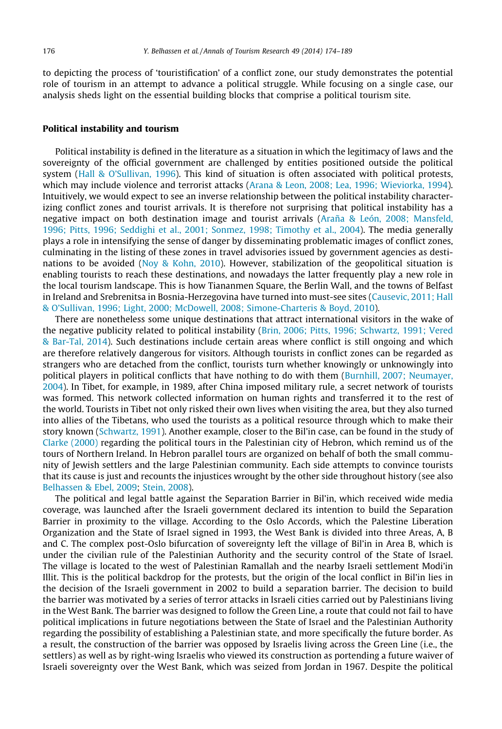to depicting the process of 'touristification' of a conflict zone, our study demonstrates the potential role of tourism in an attempt to advance a political struggle. While focusing on a single case, our analysis sheds light on the essential building blocks that comprise a political tourism site.

#### Political instability and tourism

Political instability is defined in the literature as a situation in which the legitimacy of laws and the sovereignty of the official government are challenged by entities positioned outside the political system [\(Hall & O'Sullivan, 1996\)](#page-14-0). This kind of situation is often associated with political protests, which may include violence and terrorist attacks ([Arana & Leon, 2008; Lea, 1996; Wieviorka, 1994](#page-14-0)). Intuitively, we would expect to see an inverse relationship between the political instability characterizing conflict zones and tourist arrivals. It is therefore not surprising that political instability has a negative impact on both destination image and tourist arrivals [\(Araña & León, 2008; Mansfeld,](#page-14-0) [1996; Pitts, 1996; Seddighi et al., 2001; Sonmez, 1998; Timothy et al., 2004\)](#page-14-0). The media generally plays a role in intensifying the sense of danger by disseminating problematic images of conflict zones, culminating in the listing of these zones in travel advisories issued by government agencies as destinations to be avoided [\(Noy & Kohn, 2010](#page-15-0)). However, stabilization of the geopolitical situation is enabling tourists to reach these destinations, and nowadays the latter frequently play a new role in the local tourism landscape. This is how Tiananmen Square, the Berlin Wall, and the towns of Belfast in Ireland and Srebrenitsa in Bosnia-Herzegovina have turned into must-see sites ([Causevic, 2011; Hall](#page-14-0) [& O'Sullivan, 1996; Light, 2000; McDowell, 2008; Simone-Charteris & Boyd, 2010](#page-14-0)).

There are nonetheless some unique destinations that attract international visitors in the wake of the negative publicity related to political instability [\(Brin, 2006; Pitts, 1996; Schwartz, 1991; Vered](#page-14-0) [& Bar-Tal, 2014](#page-14-0)). Such destinations include certain areas where conflict is still ongoing and which are therefore relatively dangerous for visitors. Although tourists in conflict zones can be regarded as strangers who are detached from the conflict, tourists turn whether knowingly or unknowingly into political players in political conflicts that have nothing to do with them ([Burnhill, 2007; Neumayer,](#page-14-0) [2004\)](#page-14-0). In Tibet, for example, in 1989, after China imposed military rule, a secret network of tourists was formed. This network collected information on human rights and transferred it to the rest of the world. Tourists in Tibet not only risked their own lives when visiting the area, but they also turned into allies of the Tibetans, who used the tourists as a political resource through which to make their story known [\(Schwartz, 1991](#page-15-0)). Another example, closer to the Bil'in case, can be found in the study of [Clarke \(2000\)](#page-14-0) regarding the political tours in the Palestinian city of Hebron, which remind us of the tours of Northern Ireland. In Hebron parallel tours are organized on behalf of both the small community of Jewish settlers and the large Palestinian community. Each side attempts to convince tourists that its cause is just and recounts the injustices wrought by the other side throughout history (see also [Belhassen & Ebel, 2009;](#page-14-0) [Stein, 2008\)](#page-15-0).

The political and legal battle against the Separation Barrier in Bil'in, which received wide media coverage, was launched after the Israeli government declared its intention to build the Separation Barrier in proximity to the village. According to the Oslo Accords, which the Palestine Liberation Organization and the State of Israel signed in 1993, the West Bank is divided into three Areas, A, B and C. The complex post-Oslo bifurcation of sovereignty left the village of Bil'in in Area B, which is under the civilian rule of the Palestinian Authority and the security control of the State of Israel. The village is located to the west of Palestinian Ramallah and the nearby Israeli settlement Modi'in Illit. This is the political backdrop for the protests, but the origin of the local conflict in Bil'in lies in the decision of the Israeli government in 2002 to build a separation barrier. The decision to build the barrier was motivated by a series of terror attacks in Israeli cities carried out by Palestinians living in the West Bank. The barrier was designed to follow the Green Line, a route that could not fail to have political implications in future negotiations between the State of Israel and the Palestinian Authority regarding the possibility of establishing a Palestinian state, and more specifically the future border. As a result, the construction of the barrier was opposed by Israelis living across the Green Line (i.e., the settlers) as well as by right-wing Israelis who viewed its construction as portending a future waiver of Israeli sovereignty over the West Bank, which was seized from Jordan in 1967. Despite the political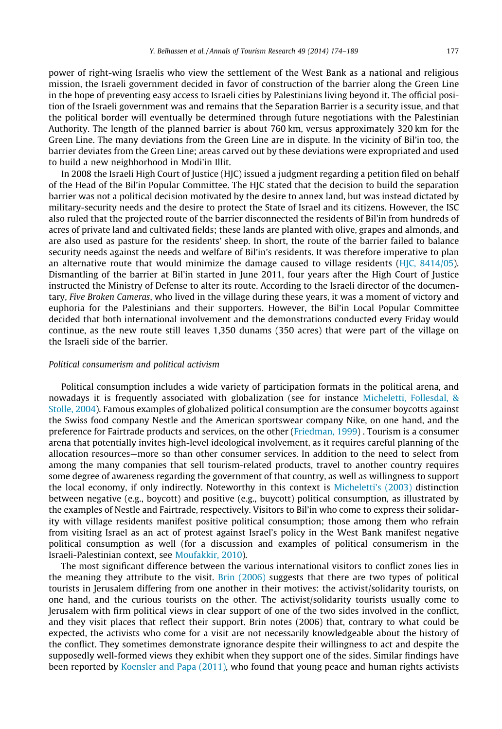power of right-wing Israelis who view the settlement of the West Bank as a national and religious mission, the Israeli government decided in favor of construction of the barrier along the Green Line in the hope of preventing easy access to Israeli cities by Palestinians living beyond it. The official position of the Israeli government was and remains that the Separation Barrier is a security issue, and that the political border will eventually be determined through future negotiations with the Palestinian Authority. The length of the planned barrier is about 760 km, versus approximately 320 km for the Green Line. The many deviations from the Green Line are in dispute. In the vicinity of Bil'in too, the barrier deviates from the Green Line; areas carved out by these deviations were expropriated and used to build a new neighborhood in Modi'in Illit.

In 2008 the Israeli High Court of Justice (HJC) issued a judgment regarding a petition filed on behalf of the Head of the Bil'in Popular Committee. The HJC stated that the decision to build the separation barrier was not a political decision motivated by the desire to annex land, but was instead dictated by military-security needs and the desire to protect the State of Israel and its citizens. However, the ISC also ruled that the projected route of the barrier disconnected the residents of Bil'in from hundreds of acres of private land and cultivated fields; these lands are planted with olive, grapes and almonds, and are also used as pasture for the residents' sheep. In short, the route of the barrier failed to balance security needs against the needs and welfare of Bil'in's residents. It was therefore imperative to plan an alternative route that would minimize the damage caused to village residents [\(HJC, 8414/05\)](#page-14-0). Dismantling of the barrier at Bil'in started in June 2011, four years after the High Court of Justice instructed the Ministry of Defense to alter its route. According to the Israeli director of the documentary, Five Broken Cameras, who lived in the village during these years, it was a moment of victory and euphoria for the Palestinians and their supporters. However, the Bil'in Local Popular Committee decided that both international involvement and the demonstrations conducted every Friday would continue, as the new route still leaves 1,350 dunams (350 acres) that were part of the village on the Israeli side of the barrier.

#### Political consumerism and political activism

Political consumption includes a wide variety of participation formats in the political arena, and nowadays it is frequently associated with globalization (see for instance [Micheletti, Follesdal, &](#page-15-0) [Stolle, 2004](#page-15-0)). Famous examples of globalized political consumption are the consumer boycotts against the Swiss food company Nestle and the American sportswear company Nike, on one hand, and the preference for Fairtrade products and services, on the other [\(Friedman, 1999](#page-14-0)) . Tourism is a consumer arena that potentially invites high-level ideological involvement, as it requires careful planning of the allocation resources—more so than other consumer services. In addition to the need to select from among the many companies that sell tourism-related products, travel to another country requires some degree of awareness regarding the government of that country, as well as willingness to support the local economy, if only indirectly. Noteworthy in this context is [Micheletti's \(2003\)](#page-15-0) distinction between negative (e.g., boycott) and positive (e.g., buycott) political consumption, as illustrated by the examples of Nestle and Fairtrade, respectively. Visitors to Bil'in who come to express their solidarity with village residents manifest positive political consumption; those among them who refrain from visiting Israel as an act of protest against Israel's policy in the West Bank manifest negative political consumption as well (for a discussion and examples of political consumerism in the Israeli-Palestinian context, see [Moufakkir, 2010\)](#page-15-0).

The most significant difference between the various international visitors to conflict zones lies in the meaning they attribute to the visit. [Brin \(2006\)](#page-14-0) suggests that there are two types of political tourists in Jerusalem differing from one another in their motives: the activist/solidarity tourists, on one hand, and the curious tourists on the other. The activist/solidarity tourists usually come to Jerusalem with firm political views in clear support of one of the two sides involved in the conflict, and they visit places that reflect their support. Brin notes (2006) that, contrary to what could be expected, the activists who come for a visit are not necessarily knowledgeable about the history of the conflict. They sometimes demonstrate ignorance despite their willingness to act and despite the supposedly well-formed views they exhibit when they support one of the sides. Similar findings have been reported by [Koensler and Papa \(2011\),](#page-14-0) who found that young peace and human rights activists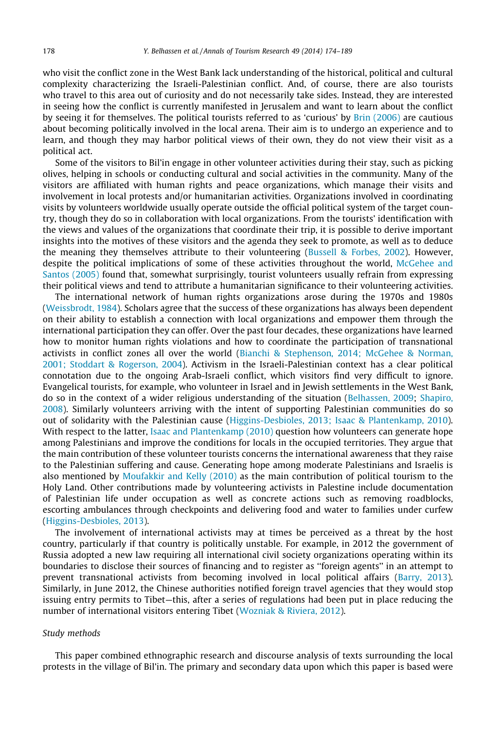who visit the conflict zone in the West Bank lack understanding of the historical, political and cultural complexity characterizing the Israeli-Palestinian conflict. And, of course, there are also tourists who travel to this area out of curiosity and do not necessarily take sides. Instead, they are interested in seeing how the conflict is currently manifested in Jerusalem and want to learn about the conflict by seeing it for themselves. The political tourists referred to as 'curious' by [Brin \(2006\)](#page-14-0) are cautious about becoming politically involved in the local arena. Their aim is to undergo an experience and to learn, and though they may harbor political views of their own, they do not view their visit as a political act.

Some of the visitors to Bil'in engage in other volunteer activities during their stay, such as picking olives, helping in schools or conducting cultural and social activities in the community. Many of the visitors are affiliated with human rights and peace organizations, which manage their visits and involvement in local protests and/or humanitarian activities. Organizations involved in coordinating visits by volunteers worldwide usually operate outside the official political system of the target country, though they do so in collaboration with local organizations. From the tourists' identification with the views and values of the organizations that coordinate their trip, it is possible to derive important insights into the motives of these visitors and the agenda they seek to promote, as well as to deduce the meaning they themselves attribute to their volunteering [\(Bussell & Forbes, 2002](#page-14-0)). However, despite the political implications of some of these activities throughout the world, [McGehee and](#page-15-0) [Santos \(2005\)](#page-15-0) found that, somewhat surprisingly, tourist volunteers usually refrain from expressing their political views and tend to attribute a humanitarian significance to their volunteering activities.

The international network of human rights organizations arose during the 1970s and 1980s ([Weissbrodt, 1984](#page-15-0)). Scholars agree that the success of these organizations has always been dependent on their ability to establish a connection with local organizations and empower them through the international participation they can offer. Over the past four decades, these organizations have learned how to monitor human rights violations and how to coordinate the participation of transnational activists in conflict zones all over the world ([Bianchi & Stephenson, 2014; McGehee & Norman,](#page-14-0) [2001; Stoddart & Rogerson, 2004\)](#page-14-0). Activism in the Israeli-Palestinian context has a clear political connotation due to the ongoing Arab-Israeli conflict, which visitors find very difficult to ignore. Evangelical tourists, for example, who volunteer in Israel and in Jewish settlements in the West Bank, do so in the context of a wider religious understanding of the situation [\(Belhassen, 2009;](#page-14-0) [Shapiro,](#page-15-0) [2008\)](#page-15-0). Similarly volunteers arriving with the intent of supporting Palestinian communities do so out of solidarity with the Palestinian cause [\(Higgins-Desbioles, 2013; Isaac & Plantenkamp, 2010](#page-14-0)). With respect to the latter, [Isaac and Plantenkamp \(2010\)](#page-14-0) question how volunteers can generate hope among Palestinians and improve the conditions for locals in the occupied territories. They argue that the main contribution of these volunteer tourists concerns the international awareness that they raise to the Palestinian suffering and cause. Generating hope among moderate Palestinians and Israelis is also mentioned by [Moufakkir and Kelly \(2010\)](#page-15-0) as the main contribution of political tourism to the Holy Land. Other contributions made by volunteering activists in Palestine include documentation of Palestinian life under occupation as well as concrete actions such as removing roadblocks, escorting ambulances through checkpoints and delivering food and water to families under curfew ([Higgins-Desbioles, 2013](#page-14-0)).

The involvement of international activists may at times be perceived as a threat by the host country, particularly if that country is politically unstable. For example, in 2012 the government of Russia adopted a new law requiring all international civil society organizations operating within its boundaries to disclose their sources of financing and to register as ''foreign agents'' in an attempt to prevent transnational activists from becoming involved in local political affairs [\(Barry, 2013](#page-14-0)). Similarly, in June 2012, the Chinese authorities notified foreign travel agencies that they would stop issuing entry permits to Tibet—this, after a series of regulations had been put in place reducing the number of international visitors entering Tibet [\(Wozniak & Riviera, 2012](#page-15-0)).

#### Study methods

This paper combined ethnographic research and discourse analysis of texts surrounding the local protests in the village of Bil'in. The primary and secondary data upon which this paper is based were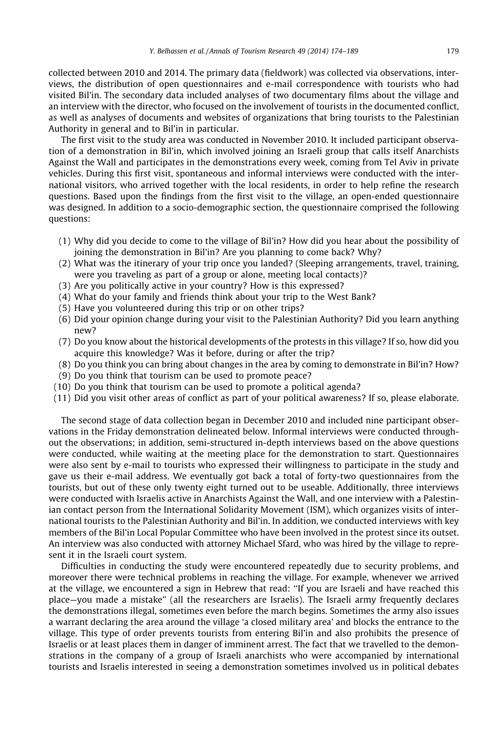collected between 2010 and 2014. The primary data (fieldwork) was collected via observations, interviews, the distribution of open questionnaires and e-mail correspondence with tourists who had visited Bil'in. The secondary data included analyses of two documentary films about the village and an interview with the director, who focused on the involvement of tourists in the documented conflict, as well as analyses of documents and websites of organizations that bring tourists to the Palestinian Authority in general and to Bil'in in particular.

The first visit to the study area was conducted in November 2010. It included participant observation of a demonstration in Bil'in, which involved joining an Israeli group that calls itself Anarchists Against the Wall and participates in the demonstrations every week, coming from Tel Aviv in private vehicles. During this first visit, spontaneous and informal interviews were conducted with the international visitors, who arrived together with the local residents, in order to help refine the research questions. Based upon the findings from the first visit to the village, an open-ended questionnaire was designed. In addition to a socio-demographic section, the questionnaire comprised the following questions:

- (1) Why did you decide to come to the village of Bil'in? How did you hear about the possibility of joining the demonstration in Bil'in? Are you planning to come back? Why?
- (2) What was the itinerary of your trip once you landed? (Sleeping arrangements, travel, training, were you traveling as part of a group or alone, meeting local contacts)?
- (3) Are you politically active in your country? How is this expressed?
- (4) What do your family and friends think about your trip to the West Bank?
- (5) Have you volunteered during this trip or on other trips?
- (6) Did your opinion change during your visit to the Palestinian Authority? Did you learn anything new?
- (7) Do you know about the historical developments of the protests in this village? If so, how did you acquire this knowledge? Was it before, during or after the trip?
- (8) Do you think you can bring about changes in the area by coming to demonstrate in Bil'in? How?
- (9) Do you think that tourism can be used to promote peace?
- (10) Do you think that tourism can be used to promote a political agenda?
- (11) Did you visit other areas of conflict as part of your political awareness? If so, please elaborate.

The second stage of data collection began in December 2010 and included nine participant observations in the Friday demonstration delineated below. Informal interviews were conducted throughout the observations; in addition, semi-structured in-depth interviews based on the above questions were conducted, while waiting at the meeting place for the demonstration to start. Questionnaires were also sent by e-mail to tourists who expressed their willingness to participate in the study and gave us their e-mail address. We eventually got back a total of forty-two questionnaires from the tourists, but out of these only twenty eight turned out to be useable. Additionally, three interviews were conducted with Israelis active in Anarchists Against the Wall, and one interview with a Palestinian contact person from the International Solidarity Movement (ISM), which organizes visits of international tourists to the Palestinian Authority and Bil'in. In addition, we conducted interviews with key members of the Bil'in Local Popular Committee who have been involved in the protest since its outset. An interview was also conducted with attorney Michael Sfard, who was hired by the village to represent it in the Israeli court system.

Difficulties in conducting the study were encountered repeatedly due to security problems, and moreover there were technical problems in reaching the village. For example, whenever we arrived at the village, we encountered a sign in Hebrew that read: ''If you are Israeli and have reached this place—you made a mistake'' (all the researchers are Israelis). The Israeli army frequently declares the demonstrations illegal, sometimes even before the march begins. Sometimes the army also issues a warrant declaring the area around the village 'a closed military area' and blocks the entrance to the village. This type of order prevents tourists from entering Bil'in and also prohibits the presence of Israelis or at least places them in danger of imminent arrest. The fact that we travelled to the demonstrations in the company of a group of Israeli anarchists who were accompanied by international tourists and Israelis interested in seeing a demonstration sometimes involved us in political debates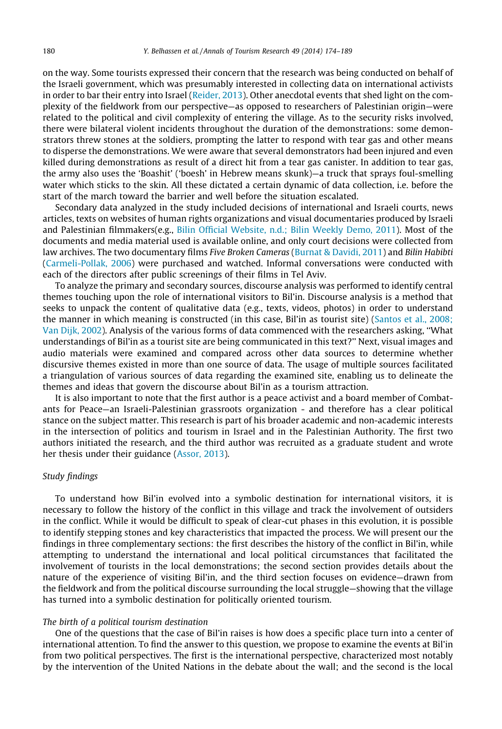on the way. Some tourists expressed their concern that the research was being conducted on behalf of the Israeli government, which was presumably interested in collecting data on international activists in order to bar their entry into Israel [\(Reider, 2013](#page-15-0)). Other anecdotal events that shed light on the complexity of the fieldwork from our perspective—as opposed to researchers of Palestinian origin—were related to the political and civil complexity of entering the village. As to the security risks involved, there were bilateral violent incidents throughout the duration of the demonstrations: some demonstrators threw stones at the soldiers, prompting the latter to respond with tear gas and other means to disperse the demonstrations. We were aware that several demonstrators had been injured and even killed during demonstrations as result of a direct hit from a tear gas canister. In addition to tear gas, the army also uses the 'Boashit' ('boesh' in Hebrew means skunk)—a truck that sprays foul-smelling water which sticks to the skin. All these dictated a certain dynamic of data collection, i.e. before the start of the march toward the barrier and well before the situation escalated.

Secondary data analyzed in the study included decisions of international and Israeli courts, news articles, texts on websites of human rights organizations and visual documentaries produced by Israeli and Palestinian filmmakers(e.g., [Bilin Official Website, n.d.; Bilin Weekly Demo, 2011](#page-14-0)). Most of the documents and media material used is available online, and only court decisions were collected from law archives. The two documentary films Five Broken Cameras ([Burnat & Davidi, 2011\)](#page-14-0) and Bilin Habibti ([Carmeli-Pollak, 2006\)](#page-14-0) were purchased and watched. Informal conversations were conducted with each of the directors after public screenings of their films in Tel Aviv.

To analyze the primary and secondary sources, discourse analysis was performed to identify central themes touching upon the role of international visitors to Bil'in. Discourse analysis is a method that seeks to unpack the content of qualitative data (e.g., texts, videos, photos) in order to understand the manner in which meaning is constructed (in this case, Bil'in as tourist site) [\(Santos et al., 2008;](#page-15-0) [Van Dijk, 2002\)](#page-15-0). Analysis of the various forms of data commenced with the researchers asking, ''What understandings of Bil'in as a tourist site are being communicated in this text?'' Next, visual images and audio materials were examined and compared across other data sources to determine whether discursive themes existed in more than one source of data. The usage of multiple sources facilitated a triangulation of various sources of data regarding the examined site, enabling us to delineate the themes and ideas that govern the discourse about Bil'in as a tourism attraction.

It is also important to note that the first author is a peace activist and a board member of Combatants for Peace—an Israeli-Palestinian grassroots organization - and therefore has a clear political stance on the subject matter. This research is part of his broader academic and non-academic interests in the intersection of politics and tourism in Israel and in the Palestinian Authority. The first two authors initiated the research, and the third author was recruited as a graduate student and wrote her thesis under their guidance [\(Assor, 2013](#page-14-0)).

#### Study findings

To understand how Bil'in evolved into a symbolic destination for international visitors, it is necessary to follow the history of the conflict in this village and track the involvement of outsiders in the conflict. While it would be difficult to speak of clear-cut phases in this evolution, it is possible to identify stepping stones and key characteristics that impacted the process. We will present our the findings in three complementary sections: the first describes the history of the conflict in Bil'in, while attempting to understand the international and local political circumstances that facilitated the involvement of tourists in the local demonstrations; the second section provides details about the nature of the experience of visiting Bil'in, and the third section focuses on evidence—drawn from the fieldwork and from the political discourse surrounding the local struggle—showing that the village has turned into a symbolic destination for politically oriented tourism.

#### The birth of a political tourism destination

One of the questions that the case of Bil'in raises is how does a specific place turn into a center of international attention. To find the answer to this question, we propose to examine the events at Bil'in from two political perspectives. The first is the international perspective, characterized most notably by the intervention of the United Nations in the debate about the wall; and the second is the local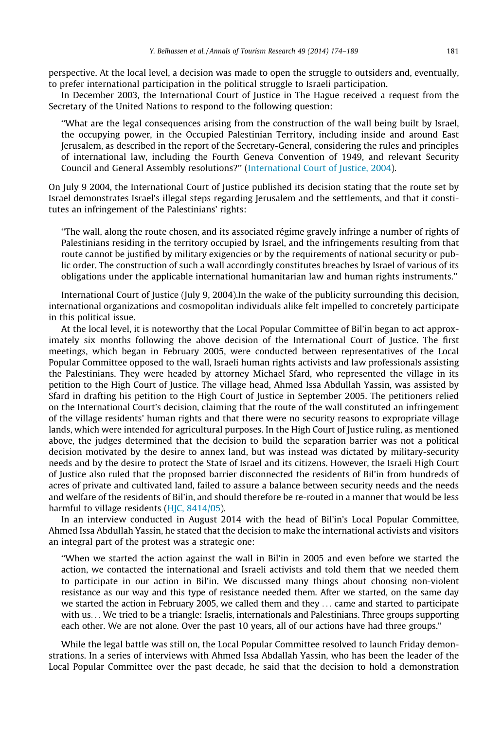perspective. At the local level, a decision was made to open the struggle to outsiders and, eventually, to prefer international participation in the political struggle to Israeli participation.

In December 2003, the International Court of Justice in The Hague received a request from the Secretary of the United Nations to respond to the following question:

''What are the legal consequences arising from the construction of the wall being built by Israel, the occupying power, in the Occupied Palestinian Territory, including inside and around East Jerusalem, as described in the report of the Secretary-General, considering the rules and principles of international law, including the Fourth Geneva Convention of 1949, and relevant Security Council and General Assembly resolutions?'' [\(International Court of Justice, 2004\)](#page-14-0).

On July 9 2004, the International Court of Justice published its decision stating that the route set by Israel demonstrates Israel's illegal steps regarding Jerusalem and the settlements, and that it constitutes an infringement of the Palestinians' rights:

''The wall, along the route chosen, and its associated régime gravely infringe a number of rights of Palestinians residing in the territory occupied by Israel, and the infringements resulting from that route cannot be justified by military exigencies or by the requirements of national security or public order. The construction of such a wall accordingly constitutes breaches by Israel of various of its obligations under the applicable international humanitarian law and human rights instruments.''

International Court of Justice (July 9, 2004).In the wake of the publicity surrounding this decision, international organizations and cosmopolitan individuals alike felt impelled to concretely participate in this political issue.

At the local level, it is noteworthy that the Local Popular Committee of Bil'in began to act approximately six months following the above decision of the International Court of Justice. The first meetings, which began in February 2005, were conducted between representatives of the Local Popular Committee opposed to the wall, Israeli human rights activists and law professionals assisting the Palestinians. They were headed by attorney Michael Sfard, who represented the village in its petition to the High Court of Justice. The village head, Ahmed Issa Abdullah Yassin, was assisted by Sfard in drafting his petition to the High Court of Justice in September 2005. The petitioners relied on the International Court's decision, claiming that the route of the wall constituted an infringement of the village residents' human rights and that there were no security reasons to expropriate village lands, which were intended for agricultural purposes. In the High Court of Justice ruling, as mentioned above, the judges determined that the decision to build the separation barrier was not a political decision motivated by the desire to annex land, but was instead was dictated by military-security needs and by the desire to protect the State of Israel and its citizens. However, the Israeli High Court of Justice also ruled that the proposed barrier disconnected the residents of Bil'in from hundreds of acres of private and cultivated land, failed to assure a balance between security needs and the needs and welfare of the residents of Bil'in, and should therefore be re-routed in a manner that would be less harmful to village residents [\(HJC, 8414/05\)](#page-14-0).

In an interview conducted in August 2014 with the head of Bil'in's Local Popular Committee, Ahmed Issa Abdullah Yassin, he stated that the decision to make the international activists and visitors an integral part of the protest was a strategic one:

''When we started the action against the wall in Bil'in in 2005 and even before we started the action, we contacted the international and Israeli activists and told them that we needed them to participate in our action in Bil'in. We discussed many things about choosing non-violent resistance as our way and this type of resistance needed them. After we started, on the same day we started the action in February 2005, we called them and they ... came and started to participate with us... We tried to be a triangle: Israelis, internationals and Palestinians. Three groups supporting each other. We are not alone. Over the past 10 years, all of our actions have had three groups.''

While the legal battle was still on, the Local Popular Committee resolved to launch Friday demonstrations. In a series of interviews with Ahmed Issa Abdallah Yassin, who has been the leader of the Local Popular Committee over the past decade, he said that the decision to hold a demonstration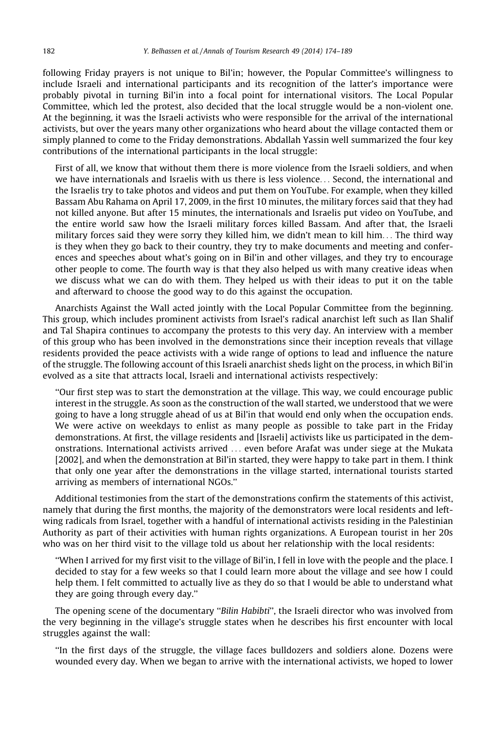following Friday prayers is not unique to Bil'in; however, the Popular Committee's willingness to include Israeli and international participants and its recognition of the latter's importance were probably pivotal in turning Bil'in into a focal point for international visitors. The Local Popular Committee, which led the protest, also decided that the local struggle would be a non-violent one. At the beginning, it was the Israeli activists who were responsible for the arrival of the international activists, but over the years many other organizations who heard about the village contacted them or simply planned to come to the Friday demonstrations. Abdallah Yassin well summarized the four key contributions of the international participants in the local struggle:

First of all, we know that without them there is more violence from the Israeli soldiers, and when we have internationals and Israelis with us there is less violence... Second, the international and the Israelis try to take photos and videos and put them on YouTube. For example, when they killed Bassam Abu Rahama on April 17, 2009, in the first 10 minutes, the military forces said that they had not killed anyone. But after 15 minutes, the internationals and Israelis put video on YouTube, and the entire world saw how the Israeli military forces killed Bassam. And after that, the Israeli military forces said they were sorry they killed him, we didn't mean to kill him... The third way is they when they go back to their country, they try to make documents and meeting and conferences and speeches about what's going on in Bil'in and other villages, and they try to encourage other people to come. The fourth way is that they also helped us with many creative ideas when we discuss what we can do with them. They helped us with their ideas to put it on the table and afterward to choose the good way to do this against the occupation.

Anarchists Against the Wall acted jointly with the Local Popular Committee from the beginning. This group, which includes prominent activists from Israel's radical anarchist left such as Ilan Shalif and Tal Shapira continues to accompany the protests to this very day. An interview with a member of this group who has been involved in the demonstrations since their inception reveals that village residents provided the peace activists with a wide range of options to lead and influence the nature of the struggle. The following account of this Israeli anarchist sheds light on the process, in which Bil'in evolved as a site that attracts local, Israeli and international activists respectively:

''Our first step was to start the demonstration at the village. This way, we could encourage public interest in the struggle. As soon as the construction of the wall started, we understood that we were going to have a long struggle ahead of us at Bil'in that would end only when the occupation ends. We were active on weekdays to enlist as many people as possible to take part in the Friday demonstrations. At first, the village residents and [Israeli] activists like us participated in the demonstrations. International activists arrived ... even before Arafat was under siege at the Mukata [2002], and when the demonstration at Bil'in started, they were happy to take part in them. I think that only one year after the demonstrations in the village started, international tourists started arriving as members of international NGOs.''

Additional testimonies from the start of the demonstrations confirm the statements of this activist, namely that during the first months, the majority of the demonstrators were local residents and leftwing radicals from Israel, together with a handful of international activists residing in the Palestinian Authority as part of their activities with human rights organizations. A European tourist in her 20s who was on her third visit to the village told us about her relationship with the local residents:

''When I arrived for my first visit to the village of Bil'in, I fell in love with the people and the place. I decided to stay for a few weeks so that I could learn more about the village and see how I could help them. I felt committed to actually live as they do so that I would be able to understand what they are going through every day.''

The opening scene of the documentary "Bilin Habibti", the Israeli director who was involved from the very beginning in the village's struggle states when he describes his first encounter with local struggles against the wall:

''In the first days of the struggle, the village faces bulldozers and soldiers alone. Dozens were wounded every day. When we began to arrive with the international activists, we hoped to lower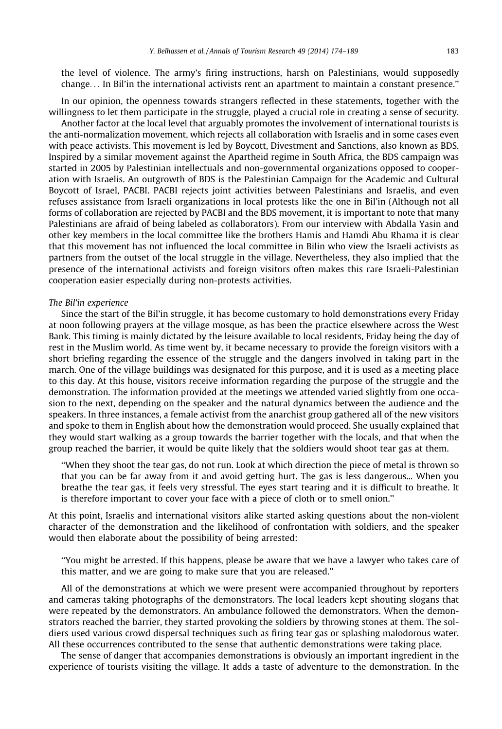the level of violence. The army's firing instructions, harsh on Palestinians, would supposedly change... In Bil'in the international activists rent an apartment to maintain a constant presence.''

In our opinion, the openness towards strangers reflected in these statements, together with the willingness to let them participate in the struggle, played a crucial role in creating a sense of security.

Another factor at the local level that arguably promotes the involvement of international tourists is the anti-normalization movement, which rejects all collaboration with Israelis and in some cases even with peace activists. This movement is led by Boycott, Divestment and Sanctions, also known as BDS. Inspired by a similar movement against the Apartheid regime in South Africa, the BDS campaign was started in 2005 by Palestinian intellectuals and non-governmental organizations opposed to cooperation with Israelis. An outgrowth of BDS is the Palestinian Campaign for the Academic and Cultural Boycott of Israel, PACBI. PACBI rejects joint activities between Palestinians and Israelis, and even refuses assistance from Israeli organizations in local protests like the one in Bil'in (Although not all forms of collaboration are rejected by PACBI and the BDS movement, it is important to note that many Palestinians are afraid of being labeled as collaborators). From our interview with Abdalla Yasin and other key members in the local committee like the brothers Hamis and Hamdi Abu Rhama it is clear that this movement has not influenced the local committee in Bilin who view the Israeli activists as partners from the outset of the local struggle in the village. Nevertheless, they also implied that the presence of the international activists and foreign visitors often makes this rare Israeli-Palestinian cooperation easier especially during non-protests activities.

#### The Bil'in experience

Since the start of the Bil'in struggle, it has become customary to hold demonstrations every Friday at noon following prayers at the village mosque, as has been the practice elsewhere across the West Bank. This timing is mainly dictated by the leisure available to local residents, Friday being the day of rest in the Muslim world. As time went by, it became necessary to provide the foreign visitors with a short briefing regarding the essence of the struggle and the dangers involved in taking part in the march. One of the village buildings was designated for this purpose, and it is used as a meeting place to this day. At this house, visitors receive information regarding the purpose of the struggle and the demonstration. The information provided at the meetings we attended varied slightly from one occasion to the next, depending on the speaker and the natural dynamics between the audience and the speakers. In three instances, a female activist from the anarchist group gathered all of the new visitors and spoke to them in English about how the demonstration would proceed. She usually explained that they would start walking as a group towards the barrier together with the locals, and that when the group reached the barrier, it would be quite likely that the soldiers would shoot tear gas at them.

''When they shoot the tear gas, do not run. Look at which direction the piece of metal is thrown so that you can be far away from it and avoid getting hurt. The gas is less dangerous... When you breathe the tear gas, it feels very stressful. The eyes start tearing and it is difficult to breathe. It is therefore important to cover your face with a piece of cloth or to smell onion.''

At this point, Israelis and international visitors alike started asking questions about the non-violent character of the demonstration and the likelihood of confrontation with soldiers, and the speaker would then elaborate about the possibility of being arrested:

''You might be arrested. If this happens, please be aware that we have a lawyer who takes care of this matter, and we are going to make sure that you are released.''

All of the demonstrations at which we were present were accompanied throughout by reporters and cameras taking photographs of the demonstrators. The local leaders kept shouting slogans that were repeated by the demonstrators. An ambulance followed the demonstrators. When the demonstrators reached the barrier, they started provoking the soldiers by throwing stones at them. The soldiers used various crowd dispersal techniques such as firing tear gas or splashing malodorous water. All these occurrences contributed to the sense that authentic demonstrations were taking place.

The sense of danger that accompanies demonstrations is obviously an important ingredient in the experience of tourists visiting the village. It adds a taste of adventure to the demonstration. In the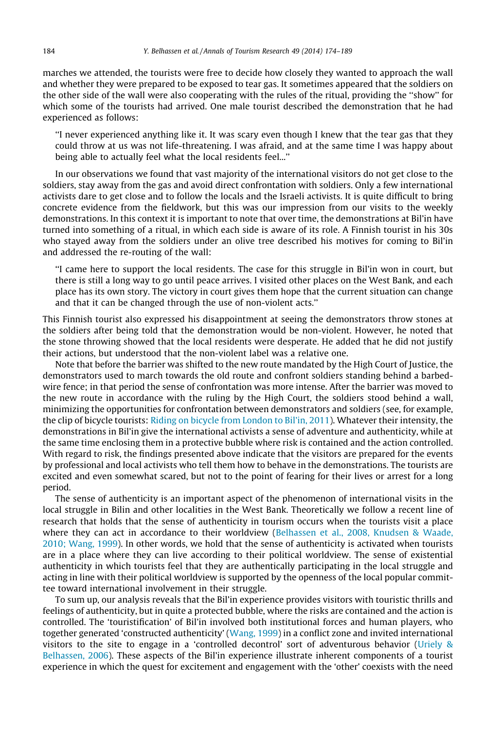marches we attended, the tourists were free to decide how closely they wanted to approach the wall and whether they were prepared to be exposed to tear gas. It sometimes appeared that the soldiers on the other side of the wall were also cooperating with the rules of the ritual, providing the ''show'' for which some of the tourists had arrived. One male tourist described the demonstration that he had experienced as follows:

''I never experienced anything like it. It was scary even though I knew that the tear gas that they could throw at us was not life-threatening. I was afraid, and at the same time I was happy about being able to actually feel what the local residents feel...''

In our observations we found that vast majority of the international visitors do not get close to the soldiers, stay away from the gas and avoid direct confrontation with soldiers. Only a few international activists dare to get close and to follow the locals and the Israeli activists. It is quite difficult to bring concrete evidence from the fieldwork, but this was our impression from our visits to the weekly demonstrations. In this context it is important to note that over time, the demonstrations at Bil'in have turned into something of a ritual, in which each side is aware of its role. A Finnish tourist in his 30s who stayed away from the soldiers under an olive tree described his motives for coming to Bil'in and addressed the re-routing of the wall:

''I came here to support the local residents. The case for this struggle in Bil'in won in court, but there is still a long way to go until peace arrives. I visited other places on the West Bank, and each place has its own story. The victory in court gives them hope that the current situation can change and that it can be changed through the use of non-violent acts.''

This Finnish tourist also expressed his disappointment at seeing the demonstrators throw stones at the soldiers after being told that the demonstration would be non-violent. However, he noted that the stone throwing showed that the local residents were desperate. He added that he did not justify their actions, but understood that the non-violent label was a relative one.

Note that before the barrier was shifted to the new route mandated by the High Court of Justice, the demonstrators used to march towards the old route and confront soldiers standing behind a barbedwire fence; in that period the sense of confrontation was more intense. After the barrier was moved to the new route in accordance with the ruling by the High Court, the soldiers stood behind a wall, minimizing the opportunities for confrontation between demonstrators and soldiers (see, for example, the clip of bicycle tourists: [Riding on bicycle from London to Bil'in, 2011](#page-15-0)). Whatever their intensity, the demonstrations in Bil'in give the international activists a sense of adventure and authenticity, while at the same time enclosing them in a protective bubble where risk is contained and the action controlled. With regard to risk, the findings presented above indicate that the visitors are prepared for the events by professional and local activists who tell them how to behave in the demonstrations. The tourists are excited and even somewhat scared, but not to the point of fearing for their lives or arrest for a long period.

The sense of authenticity is an important aspect of the phenomenon of international visits in the local struggle in Bilin and other localities in the West Bank. Theoretically we follow a recent line of research that holds that the sense of authenticity in tourism occurs when the tourists visit a place where they can act in accordance to their worldview [\(Belhassen et al., 2008, Knudsen & Waade,](#page-14-0) [2010; Wang, 1999\)](#page-14-0). In other words, we hold that the sense of authenticity is activated when tourists are in a place where they can live according to their political worldview. The sense of existential authenticity in which tourists feel that they are authentically participating in the local struggle and acting in line with their political worldview is supported by the openness of the local popular committee toward international involvement in their struggle.

To sum up, our analysis reveals that the Bil'in experience provides visitors with touristic thrills and feelings of authenticity, but in quite a protected bubble, where the risks are contained and the action is controlled. The 'touristification' of Bil'in involved both institutional forces and human players, who together generated 'constructed authenticity' [\(Wang, 1999](#page-15-0)) in a conflict zone and invited international visitors to the site to engage in a 'controlled decontrol' sort of adventurous behavior ([Uriely &](#page-15-0) [Belhassen, 2006](#page-15-0)). These aspects of the Bil'in experience illustrate inherent components of a tourist experience in which the quest for excitement and engagement with the 'other' coexists with the need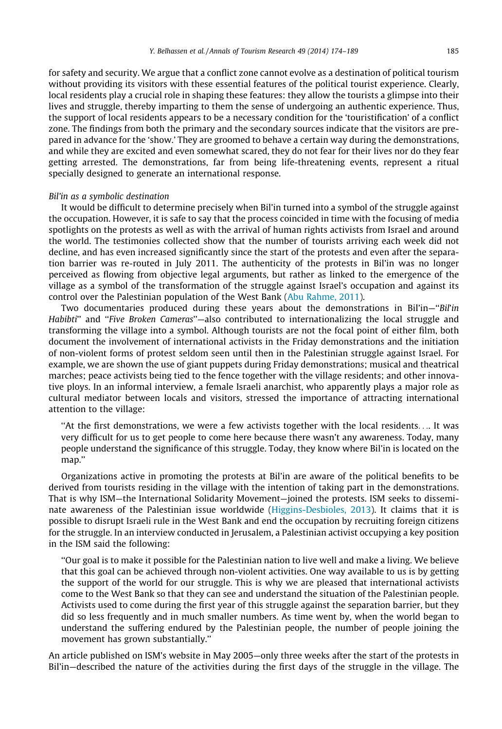for safety and security. We argue that a conflict zone cannot evolve as a destination of political tourism without providing its visitors with these essential features of the political tourist experience. Clearly, local residents play a crucial role in shaping these features: they allow the tourists a glimpse into their lives and struggle, thereby imparting to them the sense of undergoing an authentic experience. Thus, the support of local residents appears to be a necessary condition for the 'touristification' of a conflict zone. The findings from both the primary and the secondary sources indicate that the visitors are prepared in advance for the 'show.' They are groomed to behave a certain way during the demonstrations, and while they are excited and even somewhat scared, they do not fear for their lives nor do they fear getting arrested. The demonstrations, far from being life-threatening events, represent a ritual specially designed to generate an international response.

#### Bil'in as a symbolic destination

It would be difficult to determine precisely when Bil'in turned into a symbol of the struggle against the occupation. However, it is safe to say that the process coincided in time with the focusing of media spotlights on the protests as well as with the arrival of human rights activists from Israel and around the world. The testimonies collected show that the number of tourists arriving each week did not decline, and has even increased significantly since the start of the protests and even after the separation barrier was re-routed in July 2011. The authenticity of the protests in Bil'in was no longer perceived as flowing from objective legal arguments, but rather as linked to the emergence of the village as a symbol of the transformation of the struggle against Israel's occupation and against its control over the Palestinian population of the West Bank [\(Abu Rahme, 2011](#page-14-0)).

Two documentaries produced during these years about the demonstrations in Bil'in—''Bil'in Habibti" and "Five Broken Cameras"—also contributed to internationalizing the local struggle and transforming the village into a symbol. Although tourists are not the focal point of either film, both document the involvement of international activists in the Friday demonstrations and the initiation of non-violent forms of protest seldom seen until then in the Palestinian struggle against Israel. For example, we are shown the use of giant puppets during Friday demonstrations; musical and theatrical marches; peace activists being tied to the fence together with the village residents; and other innovative ploys. In an informal interview, a female Israeli anarchist, who apparently plays a major role as cultural mediator between locals and visitors, stressed the importance of attracting international attention to the village:

''At the first demonstrations, we were a few activists together with the local residents.... It was very difficult for us to get people to come here because there wasn't any awareness. Today, many people understand the significance of this struggle. Today, they know where Bil'in is located on the map.''

Organizations active in promoting the protests at Bil'in are aware of the political benefits to be derived from tourists residing in the village with the intention of taking part in the demonstrations. That is why ISM—the International Solidarity Movement—joined the protests. ISM seeks to disseminate awareness of the Palestinian issue worldwide [\(Higgins-Desbioles, 2013\)](#page-14-0). It claims that it is possible to disrupt Israeli rule in the West Bank and end the occupation by recruiting foreign citizens for the struggle. In an interview conducted in Jerusalem, a Palestinian activist occupying a key position in the ISM said the following:

''Our goal is to make it possible for the Palestinian nation to live well and make a living. We believe that this goal can be achieved through non-violent activities. One way available to us is by getting the support of the world for our struggle. This is why we are pleased that international activists come to the West Bank so that they can see and understand the situation of the Palestinian people. Activists used to come during the first year of this struggle against the separation barrier, but they did so less frequently and in much smaller numbers. As time went by, when the world began to understand the suffering endured by the Palestinian people, the number of people joining the movement has grown substantially.''

An article published on ISM's website in May 2005—only three weeks after the start of the protests in Bil'in—described the nature of the activities during the first days of the struggle in the village. The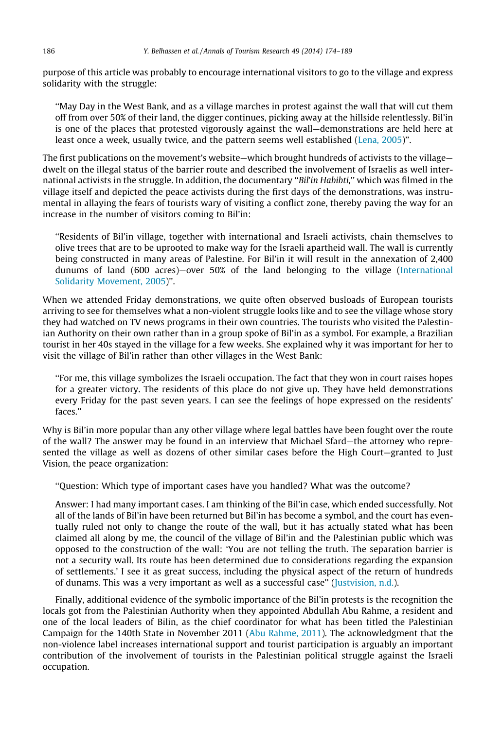purpose of this article was probably to encourage international visitors to go to the village and express solidarity with the struggle:

''May Day in the West Bank, and as a village marches in protest against the wall that will cut them off from over 50% of their land, the digger continues, picking away at the hillside relentlessly. Bil'in is one of the places that protested vigorously against the wall—demonstrations are held here at least once a week, usually twice, and the pattern seems well established ([Lena, 2005\)](#page-14-0)''.

The first publications on the movement's website—which brought hundreds of activists to the village dwelt on the illegal status of the barrier route and described the involvement of Israelis as well international activists in the struggle. In addition, the documentary ''Bil'in Habibti,'' which was filmed in the village itself and depicted the peace activists during the first days of the demonstrations, was instrumental in allaying the fears of tourists wary of visiting a conflict zone, thereby paving the way for an increase in the number of visitors coming to Bil'in:

''Residents of Bil'in village, together with international and Israeli activists, chain themselves to olive trees that are to be uprooted to make way for the Israeli apartheid wall. The wall is currently being constructed in many areas of Palestine. For Bil'in it will result in the annexation of 2,400 dunums of land (600 acres)—over 50% of the land belonging to the village [\(International](#page-14-0) [Solidarity Movement, 2005\)](#page-14-0)''.

When we attended Friday demonstrations, we quite often observed busloads of European tourists arriving to see for themselves what a non-violent struggle looks like and to see the village whose story they had watched on TV news programs in their own countries. The tourists who visited the Palestinian Authority on their own rather than in a group spoke of Bil'in as a symbol. For example, a Brazilian tourist in her 40s stayed in the village for a few weeks. She explained why it was important for her to visit the village of Bil'in rather than other villages in the West Bank:

''For me, this village symbolizes the Israeli occupation. The fact that they won in court raises hopes for a greater victory. The residents of this place do not give up. They have held demonstrations every Friday for the past seven years. I can see the feelings of hope expressed on the residents' faces.''

Why is Bil'in more popular than any other village where legal battles have been fought over the route of the wall? The answer may be found in an interview that Michael Sfard—the attorney who represented the village as well as dozens of other similar cases before the High Court—granted to Just Vision, the peace organization:

''Question: Which type of important cases have you handled? What was the outcome?

Answer: I had many important cases. I am thinking of the Bil'in case, which ended successfully. Not all of the lands of Bil'in have been returned but Bil'in has become a symbol, and the court has eventually ruled not only to change the route of the wall, but it has actually stated what has been claimed all along by me, the council of the village of Bil'in and the Palestinian public which was opposed to the construction of the wall: 'You are not telling the truth. The separation barrier is not a security wall. Its route has been determined due to considerations regarding the expansion of settlements.' I see it as great success, including the physical aspect of the return of hundreds of dunams. This was a very important as well as a successful case'' [\(Justvision, n.d.](#page-14-0)).

Finally, additional evidence of the symbolic importance of the Bil'in protests is the recognition the locals got from the Palestinian Authority when they appointed Abdullah Abu Rahme, a resident and one of the local leaders of Bilin, as the chief coordinator for what has been titled the Palestinian Campaign for the 140th State in November 2011 [\(Abu Rahme, 2011\)](#page-14-0). The acknowledgment that the non-violence label increases international support and tourist participation is arguably an important contribution of the involvement of tourists in the Palestinian political struggle against the Israeli occupation.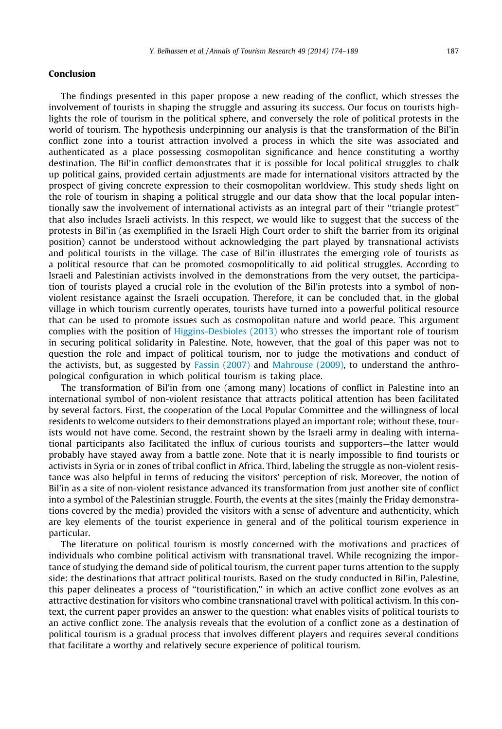#### Conclusion

The findings presented in this paper propose a new reading of the conflict, which stresses the involvement of tourists in shaping the struggle and assuring its success. Our focus on tourists highlights the role of tourism in the political sphere, and conversely the role of political protests in the world of tourism. The hypothesis underpinning our analysis is that the transformation of the Bil'in conflict zone into a tourist attraction involved a process in which the site was associated and authenticated as a place possessing cosmopolitan significance and hence constituting a worthy destination. The Bil'in conflict demonstrates that it is possible for local political struggles to chalk up political gains, provided certain adjustments are made for international visitors attracted by the prospect of giving concrete expression to their cosmopolitan worldview. This study sheds light on the role of tourism in shaping a political struggle and our data show that the local popular intentionally saw the involvement of international activists as an integral part of their ''triangle protest'' that also includes Israeli activists. In this respect, we would like to suggest that the success of the protests in Bil'in (as exemplified in the Israeli High Court order to shift the barrier from its original position) cannot be understood without acknowledging the part played by transnational activists and political tourists in the village. The case of Bil'in illustrates the emerging role of tourists as a political resource that can be promoted cosmopolitically to aid political struggles. According to Israeli and Palestinian activists involved in the demonstrations from the very outset, the participation of tourists played a crucial role in the evolution of the Bil'in protests into a symbol of nonviolent resistance against the Israeli occupation. Therefore, it can be concluded that, in the global village in which tourism currently operates, tourists have turned into a powerful political resource that can be used to promote issues such as cosmopolitan nature and world peace. This argument complies with the position of [Higgins-Desbioles \(2013\)](#page-14-0) who stresses the important role of tourism in securing political solidarity in Palestine. Note, however, that the goal of this paper was not to question the role and impact of political tourism, nor to judge the motivations and conduct of the activists, but, as suggested by [Fassin \(2007\)](#page-14-0) and [Mahrouse \(2009\)](#page-14-0), to understand the anthropological configuration in which political tourism is taking place.

The transformation of Bil'in from one (among many) locations of conflict in Palestine into an international symbol of non-violent resistance that attracts political attention has been facilitated by several factors. First, the cooperation of the Local Popular Committee and the willingness of local residents to welcome outsiders to their demonstrations played an important role; without these, tourists would not have come. Second, the restraint shown by the Israeli army in dealing with international participants also facilitated the influx of curious tourists and supporters—the latter would probably have stayed away from a battle zone. Note that it is nearly impossible to find tourists or activists in Syria or in zones of tribal conflict in Africa. Third, labeling the struggle as non-violent resistance was also helpful in terms of reducing the visitors' perception of risk. Moreover, the notion of Bil'in as a site of non-violent resistance advanced its transformation from just another site of conflict into a symbol of the Palestinian struggle. Fourth, the events at the sites (mainly the Friday demonstrations covered by the media) provided the visitors with a sense of adventure and authenticity, which are key elements of the tourist experience in general and of the political tourism experience in particular.

The literature on political tourism is mostly concerned with the motivations and practices of individuals who combine political activism with transnational travel. While recognizing the importance of studying the demand side of political tourism, the current paper turns attention to the supply side: the destinations that attract political tourists. Based on the study conducted in Bil'in, Palestine, this paper delineates a process of ''touristification,'' in which an active conflict zone evolves as an attractive destination for visitors who combine transnational travel with political activism. In this context, the current paper provides an answer to the question: what enables visits of political tourists to an active conflict zone. The analysis reveals that the evolution of a conflict zone as a destination of political tourism is a gradual process that involves different players and requires several conditions that facilitate a worthy and relatively secure experience of political tourism.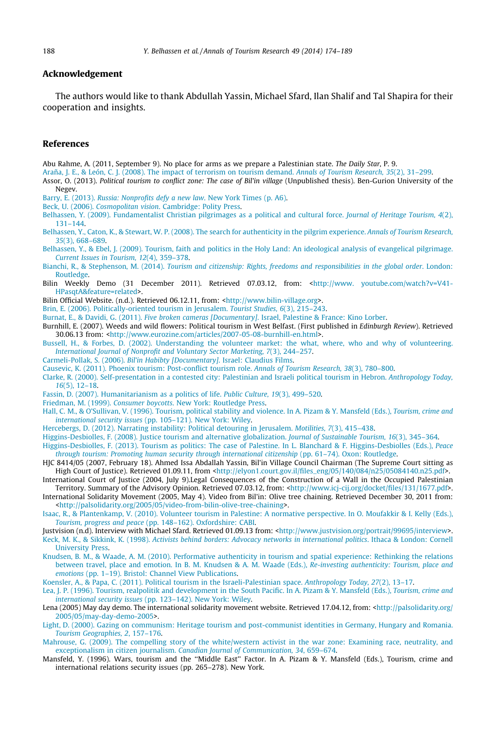#### <span id="page-14-0"></span>Acknowledgement

The authors would like to thank Abdullah Yassin, Michael Sfard, Ilan Shalif and Tal Shapira for their cooperation and insights.

#### References

Abu Rahme, A. (2011, September 9). No place for arms as we prepare a Palestinian state. The Daily Star, P. 9.

[Araña, J. E., & León, C. J. \(2008\). The impact of terrorism on tourism demand.](http://refhub.elsevier.com/S0160-7383(14)00115-7/h0015) Annals of Tourism Research, 35(2), 31–299.

Assor, O. (2013). Political tourism to conflict zone: The case of Bil'in village (Unpublished thesis). Ben-Gurion University of the Negev.

Barry, E. (2013). [Russia: Nonprofits defy a new law](http://refhub.elsevier.com/S0160-7383(14)00115-7/h0025). New York Times (p. A6).

- Beck, U. (2006). Cosmopolitan vision[. Cambridge: Polity Press](http://refhub.elsevier.com/S0160-7383(14)00115-7/h0030).
- [Belhassen, Y. \(2009\). Fundamentalist Christian pilgrimages as a political and cultural force.](http://refhub.elsevier.com/S0160-7383(14)00115-7/h9005) Journal of Heritage Tourism, 4(2), [131–144.](http://refhub.elsevier.com/S0160-7383(14)00115-7/h9005)
- [Belhassen, Y., Caton, K., & Stewart, W. P. \(2008\). The search for authenticity in the pilgrim experience.](http://refhub.elsevier.com/S0160-7383(14)00115-7/h0035) Annals of Tourism Research, 35[\(3\), 668–689](http://refhub.elsevier.com/S0160-7383(14)00115-7/h0035).
- [Belhassen, Y., & Ebel, J. \(2009\). Tourism, faith and politics in the Holy Land: An ideological analysis of evangelical pilgrimage.](http://refhub.elsevier.com/S0160-7383(14)00115-7/h9000) [Current Issues in Tourism, 12](http://refhub.elsevier.com/S0160-7383(14)00115-7/h9000)(4), 359–378.
- Bianchi, R., & Stephenson, M. (2014). [Tourism and citizenship: Rights, freedoms and responsibilities in the global order](http://refhub.elsevier.com/S0160-7383(14)00115-7/h0040). London: [Routledge](http://refhub.elsevier.com/S0160-7383(14)00115-7/h0040).
- Bilin Weekly Demo (31 December 2011). Retrieved 07.03.12, from: [<http://www. youtube.com/watch?v=V41-](http://www.%20youtube.com/watch?v=V41-HPasqtA%26feature=related) [HPasqtA&feature=related](http://www.%20youtube.com/watch?v=V41-HPasqtA%26feature=related)>.

Bilin Official Website. (n.d.). Retrieved 06.12.11, from: <<http://www.bilin-village.org>>.

[Brin, E. \(2006\). Politically-oriented tourism in Jerusalem.](http://refhub.elsevier.com/S0160-7383(14)00115-7/h0055) Tourist Studies, 6(3), 215–243.

Burnat, E., & Davidi, G. (2011). Five broken cameras [Documentary][. Israel, Palestine & France: Kino Lorber.](http://refhub.elsevier.com/S0160-7383(14)00115-7/h0065)

Burnhill, E. (2007). Weeds and wild flowers: Political tourism in West Belfast. (First published in Edinburgh Review). Retrieved 30.06.13 from: [<http://www.eurozine.com/articles/2007-05-08-burnhill-en.html](http://www.eurozine.com/articles/2007-05-08-burnhill-en.html)>.

[Bussell, H., & Forbes, D. \(2002\). Understanding the volunteer market: the what, where, who and why of volunteering.](http://refhub.elsevier.com/S0160-7383(14)00115-7/h0075) [International Journal of Nonprofit and Voluntary Sector Marketing, 7](http://refhub.elsevier.com/S0160-7383(14)00115-7/h0075)(3), 244–257.

Carmeli-Pollak, S. (2006). [Bil'in Habibty \[Documentary\]](http://refhub.elsevier.com/S0160-7383(14)00115-7/h0080). Israel: Claudius Films.

[Causevic, K. \(2011\). Phoenix tourism: Post-conflict tourism role.](http://refhub.elsevier.com/S0160-7383(14)00115-7/h0085) Annals of Tourism Research, 38(3), 780–800.

- [Clarke, R. \(2000\). Self-presentation in a contested city: Palestinian and Israeli political tourism in Hebron.](http://refhub.elsevier.com/S0160-7383(14)00115-7/h0090) Anthropology Today, 16[\(5\), 12–18](http://refhub.elsevier.com/S0160-7383(14)00115-7/h0090).
- [Fassin, D. \(2007\). Humanitarianism as a politics of life.](http://refhub.elsevier.com/S0160-7383(14)00115-7/h0095) Public Culture, 19(3), 499–520.

Friedman, M. (1999). Consumer boycotts[. New York: Routledge Press](http://refhub.elsevier.com/S0160-7383(14)00115-7/h0100).

- [Hall, C. M., & O'Sullivan, V. \(1996\). Tourism, political stability and violence. In A. Pizam & Y. Mansfeld \(Eds.\),](http://refhub.elsevier.com/S0160-7383(14)00115-7/h0110) Tourism, crime and international security issues [\(pp. 105–121\). New York: Wiley.](http://refhub.elsevier.com/S0160-7383(14)00115-7/h0110)
- [Hercebergs, D. \(2012\). Narrating instability: Political detouring in Jerusalem.](http://refhub.elsevier.com/S0160-7383(14)00115-7/h0115) Motilities, 7(3), 415–438.
- [Higgins-Desbiolles, F. \(2008\). Justice tourism and alternative globalization.](http://refhub.elsevier.com/S0160-7383(14)00115-7/h0120) Journal of Sustainable Tourism, 16(3), 345–364.

[Higgins-Desbiolles, F. \(2013\). Tourism as politics: The case of Palestine. In L. Blanchard & F. Higgins-Desbiolles \(Eds.\),](http://refhub.elsevier.com/S0160-7383(14)00115-7/h0125) Peace [through tourism: Promoting human security through international citizenship](http://refhub.elsevier.com/S0160-7383(14)00115-7/h0125) (pp. 61–74). Oxon: Routledge.

- HJC 8414/05 (2007, February 18). Ahmed Issa Abdallah Yassin, Bil'in Village Council Chairman (The Supreme Court sitting as High Court of Justice). Retrieved 01.09.11, from <[http://elyon1.court.gov.il/files\\_eng/05/140/084/n25/05084140.n25.pdf>](http://elyon1.court.gov.il/files_eng/05/140/084/n25/05084140.n25.pdf).
- International Court of Justice (2004, July 9).Legal Consequences of the Construction of a Wall in the Occupied Palestinian Territory. Summary of the Advisory Opinion. Retrieved 07.03.12, from: <<http://www.icj-cij.org/docket/files/131/1677.pdf>>.
- International Solidarity Movement (2005, May 4). Video from Bil'in: Olive tree chaining. Retrieved December 30, 2011 from: [<http://palsolidarity.org/2005/05/video-from-bilin-olive-tree-chaining>](http://palsolidarity.org/2005/05/video-from-bilin-olive-tree-chaining).
- [Isaac, R., & Plantenkamp, V. \(2010\). Volunteer tourism in Palestine: A normative perspective. In O. Moufakkir & I. Kelly \(Eds.\),](http://refhub.elsevier.com/S0160-7383(14)00115-7/h0145) Tourism, progress and peace [\(pp. 148–162\). Oxfordshire: CABI](http://refhub.elsevier.com/S0160-7383(14)00115-7/h0145).
- Justvision (n.d). Interview with Michael Sfard. Retrieved 01.09.13 from: [<http://www.justvision.org/portrait/99695/interview](http://www.justvision.org/portrait/99695/interview)>. Keck, M. K., & Sikkink, K. (1998). [Activists behind borders: Advocacy networks in international politics](http://refhub.elsevier.com/S0160-7383(14)00115-7/h0155). Ithaca & London: Cornell [University Press.](http://refhub.elsevier.com/S0160-7383(14)00115-7/h0155)
- [Knudsen, B. M., & Waade, A. M. \(2010\). Performative authenticity in tourism and spatial experience: Rethinking the relations](http://refhub.elsevier.com/S0160-7383(14)00115-7/h0160) [between travel, place and emotion. In B. M. Knudsen & A. M. Waade \(Eds.\),](http://refhub.elsevier.com/S0160-7383(14)00115-7/h0160) Re-investing authenticity: Tourism, place and emotions [\(pp. 1–19\). Bristol: Channel View Publications.](http://refhub.elsevier.com/S0160-7383(14)00115-7/h0160)
- [Koensler, A., & Papa, C. \(2011\). Political tourism in the Israeli-Palestinian space.](http://refhub.elsevier.com/S0160-7383(14)00115-7/h0165) Anthropology Today, 27(2), 13–17.
- [Lea, J. P. \(1996\). Tourism, realpolitik and development in the South Pacific. In A. Pizam & Y. Mansfeld \(Eds.\),](http://refhub.elsevier.com/S0160-7383(14)00115-7/h0170) Tourism, crime and international security issues [\(pp. 123–142\). New York: Wiley.](http://refhub.elsevier.com/S0160-7383(14)00115-7/h0170)
- Lena (2005) May day demo. The international solidarity movement website. Retrieved 17.04.12, from: [<http://palsolidarity.org/](http://palsolidarity.org/2005/05/may-day-demo-2005) [2005/05/may-day-demo-2005](http://palsolidarity.org/2005/05/may-day-demo-2005)>.
- [Light, D. \(2000\). Gazing on communism: Heritage tourism and post-communist identities in Germany, Hungary and Romania.](http://refhub.elsevier.com/S0160-7383(14)00115-7/h0180) [Tourism Geographies, 2](http://refhub.elsevier.com/S0160-7383(14)00115-7/h0180), 157–176.
- [Mahrouse, G. \(2009\). The compelling story of the white/western activist in the war zone: Examining race, neutrality, and](http://refhub.elsevier.com/S0160-7383(14)00115-7/h0205) exceptionalism in citizen journalism. [Canadian Journal of Communication, 34](http://refhub.elsevier.com/S0160-7383(14)00115-7/h0205), 659–674.
- Mansfeld, Y. (1996). Wars, tourism and the ''Middle East'' Factor. In A. Pizam & Y. Mansfeld (Eds.), Tourism, crime and international relations security issues (pp. 265–278). New York.